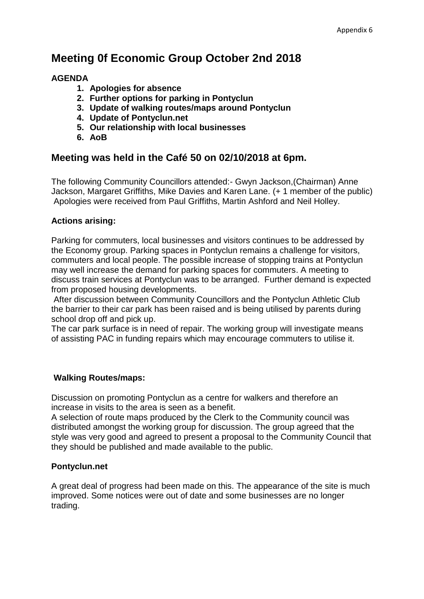# **Meeting 0f Economic Group October 2nd 2018**

## **AGENDA**

- **1. Apologies for absence**
- **2. Further options for parking in Pontyclun**
- **3. Update of walking routes/maps around Pontyclun**
- **4. Update of Pontyclun.net**
- **5. Our relationship with local businesses**
- **6. AoB**

## **Meeting was held in the Café 50 on 02/10/2018 at 6pm.**

The following Community Councillors attended:- Gwyn Jackson,(Chairman) Anne Jackson, Margaret Griffiths, Mike Davies and Karen Lane. (+ 1 member of the public) Apologies were received from Paul Griffiths, Martin Ashford and Neil Holley.

## **Actions arising:**

Parking for commuters, local businesses and visitors continues to be addressed by the Economy group. Parking spaces in Pontyclun remains a challenge for visitors, commuters and local people. The possible increase of stopping trains at Pontyclun may well increase the demand for parking spaces for commuters. A meeting to discuss train services at Pontyclun was to be arranged. Further demand is expected from proposed housing developments.

After discussion between Community Councillors and the Pontyclun Athletic Club the barrier to their car park has been raised and is being utilised by parents during school drop off and pick up.

The car park surface is in need of repair. The working group will investigate means of assisting PAC in funding repairs which may encourage commuters to utilise it.

## **Walking Routes/maps:**

Discussion on promoting Pontyclun as a centre for walkers and therefore an increase in visits to the area is seen as a benefit.

A selection of route maps produced by the Clerk to the Community council was distributed amongst the working group for discussion. The group agreed that the style was very good and agreed to present a proposal to the Community Council that they should be published and made available to the public.

## **Pontyclun.net**

A great deal of progress had been made on this. The appearance of the site is much improved. Some notices were out of date and some businesses are no longer trading.